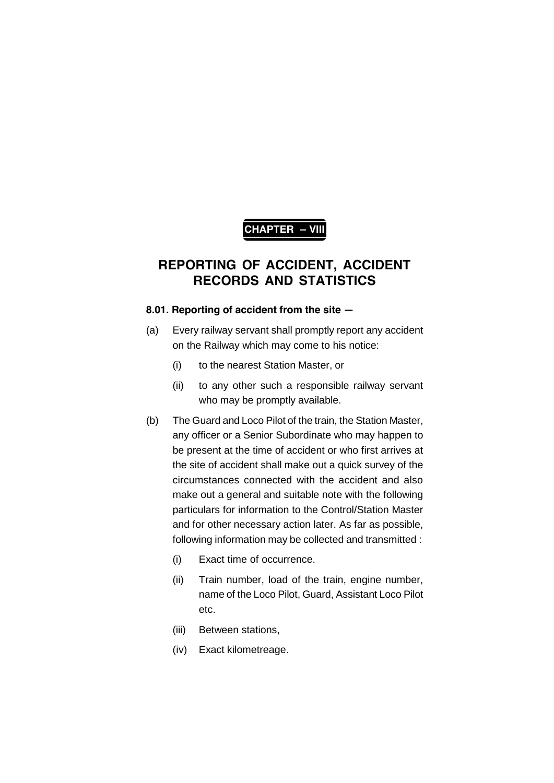# **CHAPTER – VIII**

# **REPORTING OF ACCIDENT, ACCIDENT RECORDS AND STATISTICS**

## **8.01. Reporting of accident from the site —**

- (a) Every railway servant shall promptly report any accident on the Railway which may come to his notice:
	- (i) to the nearest Station Master, or
	- (ii) to any other such a responsible railway servant who may be promptly available.
- (b) The Guard and Loco Pilot of the train, the Station Master, any officer or a Senior Subordinate who may happen to be present at the time of accident or who first arrives at the site of accident shall make out a quick survey of the circumstances connected with the accident and also make out a general and suitable note with the following particulars for information to the Control/Station Master and for other necessary action later. As far as possible, following information may be collected and transmitted :
	- (i) Exact time of occurrence.
	- (ii) Train number, load of the train, engine number, name of the Loco Pilot, Guard, Assistant Loco Pilot etc.
	- (iii) Between stations,
	- (iv) Exact kilometreage.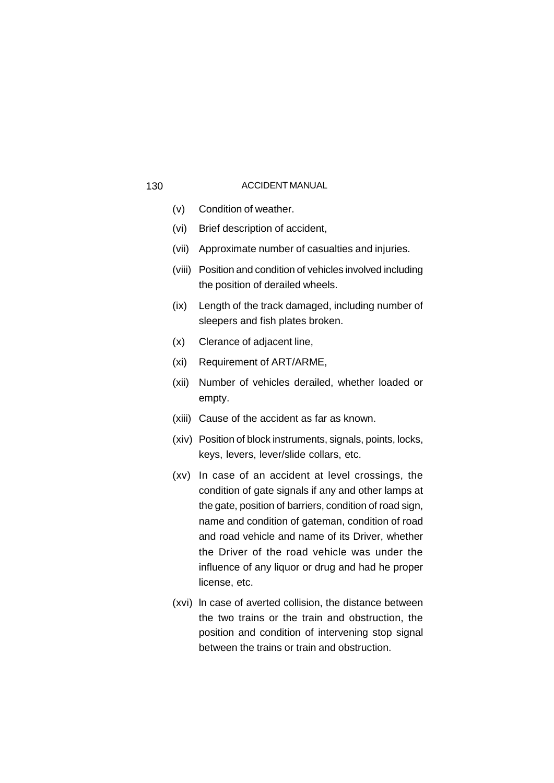- (v) Condition of weather.
- (vi) Brief description of accident,
- (vii) Approximate number of casualties and injuries.
- (viii) Position and condition of vehicles involved including the position of derailed wheels.
- (ix) Length of the track damaged, including number of sleepers and fish plates broken.
- (x) Clerance of adjacent line,
- (xi) Requirement of ART/ARME,
- (xii) Number of vehicles derailed, whether loaded or empty.
- (xiii) Cause of the accident as far as known.
- (xiv) Position of block instruments, signals, points, locks, keys, levers, lever/slide collars, etc.
- (xv) In case of an accident at level crossings, the condition of gate signals if any and other lamps at the gate, position of barriers, condition of road sign, name and condition of gateman, condition of road and road vehicle and name of its Driver, whether the Driver of the road vehicle was under the influence of any liquor or drug and had he proper license, etc.
- (xvi) ln case of averted collision, the distance between the two trains or the train and obstruction, the position and condition of intervening stop signal between the trains or train and obstruction.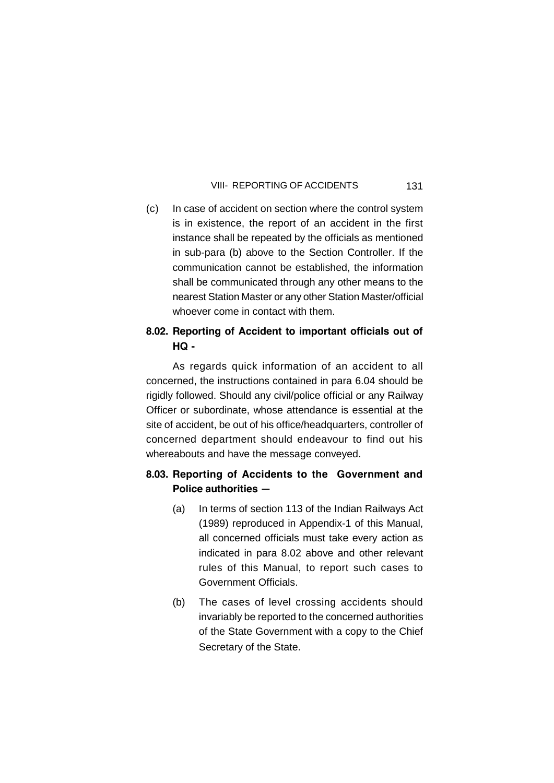(c) In case of accident on section where the control system is in existence, the report of an accident in the first instance shall be repeated by the officials as mentioned in sub-para (b) above to the Section Controller. If the communication cannot be established, the information shall be communicated through any other means to the nearest Station Master or any other Station Master/official whoever come in contact with them.

## **8.02. Reporting of Accident to important officials out of HQ -**

As regards quick information of an accident to all concerned, the instructions contained in para 6.04 should be rigidly followed. Should any civil/police official or any Railway Officer or subordinate, whose attendance is essential at the site of accident, be out of his office/headquarters, controller of concerned department should endeavour to find out his whereabouts and have the message conveyed.

## **8.03. Reporting of Accidents to the Government and Police authorities —**

- (a) In terms of section 113 of the Indian Railways Act (1989) reproduced in Appendix-1 of this Manual, all concerned officials must take every action as indicated in para 8.02 above and other relevant rules of this Manual, to report such cases to Government Officials.
- (b) The cases of level crossing accidents should invariably be reported to the concerned authorities of the State Government with a copy to the Chief Secretary of the State.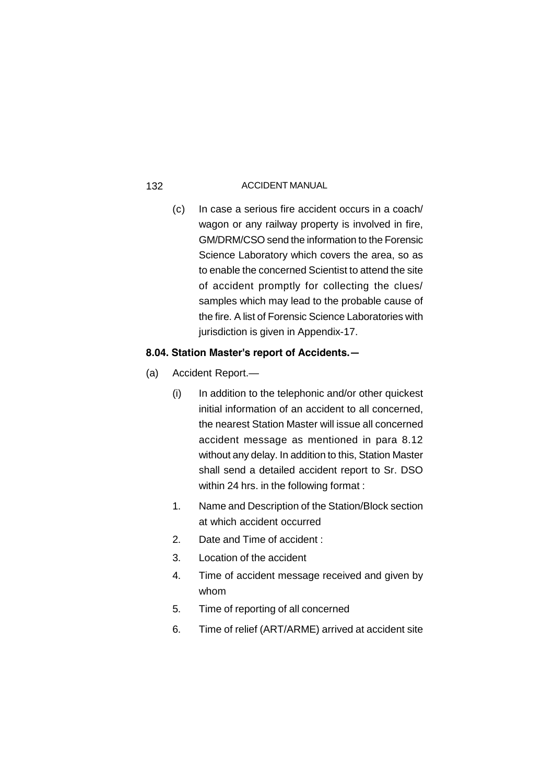(c) In case a serious fire accident occurs in a coach/ wagon or any railway property is involved in fire, GM/DRM/CSO send the information to the Forensic Science Laboratory which covers the area, so as to enable the concerned Scientist to attend the site of accident promptly for collecting the clues/ samples which may lead to the probable cause of the fire. A list of Forensic Science Laboratories with jurisdiction is given in Appendix-17.

## **8.04. Station Master's report of Accidents.—**

- (a) Accident Report.—
	- (i) In addition to the telephonic and/or other quickest initial information of an accident to all concerned, the nearest Station Master will issue all concerned accident message as mentioned in para 8.12 without any delay. In addition to this, Station Master shall send a detailed accident report to Sr. DSO within 24 hrs. in the following format :
	- 1. Name and Description of the Station/Block section at which accident occurred
	- 2. Date and Time of accident :
	- 3. Location of the accident
	- 4. Time of accident message received and given by whom
	- 5. Time of reporting of all concerned
	- 6. Time of relief (ART/ARME) arrived at accident site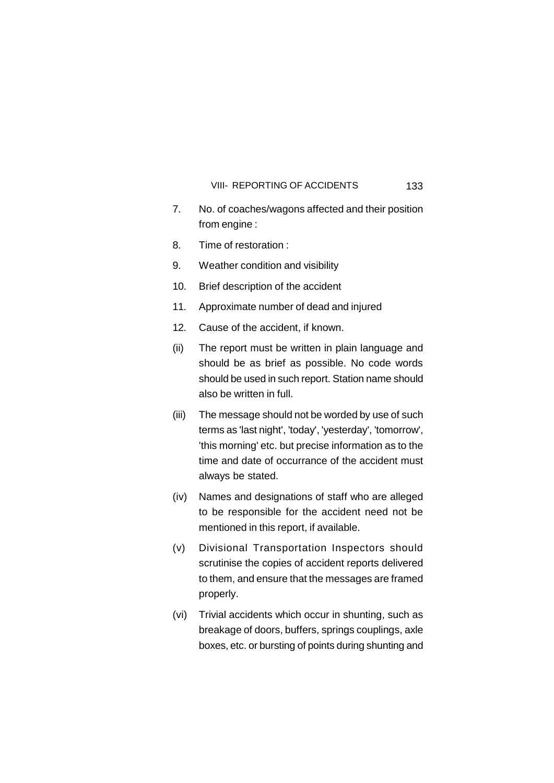- 7. No. of coaches/wagons affected and their position from engine :
- 8. Time of restoration :
- 9. Weather condition and visibility
- 10. Brief description of the accident
- 11. Approximate number of dead and injured
- 12. Cause of the accident, if known.
- (ii) The report must be written in plain language and should be as brief as possible. No code words should be used in such report. Station name should also be written in full.
- (iii) The message should not be worded by use of such terms as 'last night', 'today', 'yesterday', 'tomorrow', 'this morning' etc. but precise information as to the time and date of occurrance of the accident must always be stated.
- (iv) Names and designations of staff who are alleged to be responsible for the accident need not be mentioned in this report, if available.
- (v) Divisional Transportation Inspectors should scrutinise the copies of accident reports delivered to them, and ensure that the messages are framed properly.
- (vi) Trivial accidents which occur in shunting, such as breakage of doors, buffers, springs couplings, axle boxes, etc. or bursting of points during shunting and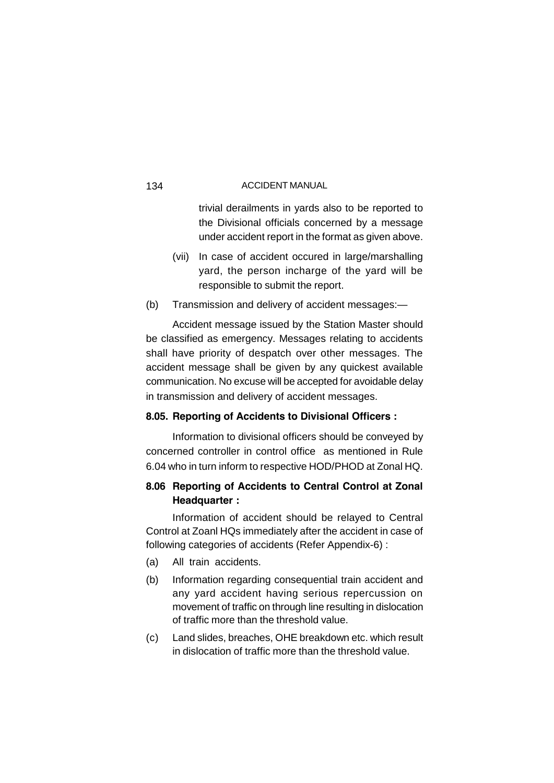trivial derailments in yards also to be reported to the Divisional officials concerned by a message under accident report in the format as given above.

- (vii) In case of accident occured in large/marshalling yard, the person incharge of the yard will be responsible to submit the report.
- (b) Transmission and delivery of accident messages:—

Accident message issued by the Station Master should be classified as emergency. Messages relating to accidents shall have priority of despatch over other messages. The accident message shall be given by any quickest available communication. No excuse will be accepted for avoidable delay in transmission and delivery of accident messages.

## **8.05. Reporting of Accidents to Divisional Officers :**

Information to divisional officers should be conveyed by concerned controller in control office as mentioned in Rule 6.04 who in turn inform to respective HOD/PHOD at Zonal HQ.

## **8.06 Reporting of Accidents to Central Control at Zonal Headquarter :**

Information of accident should be relayed to Central Control at Zoanl HQs immediately after the accident in case of following categories of accidents (Refer Appendix-6) :

- (a) All train accidents.
- (b) Information regarding consequential train accident and any yard accident having serious repercussion on movement of traffic on through line resulting in dislocation of traffic more than the threshold value.
- (c) Land slides, breaches, OHE breakdown etc. which result in dislocation of traffic more than the threshold value.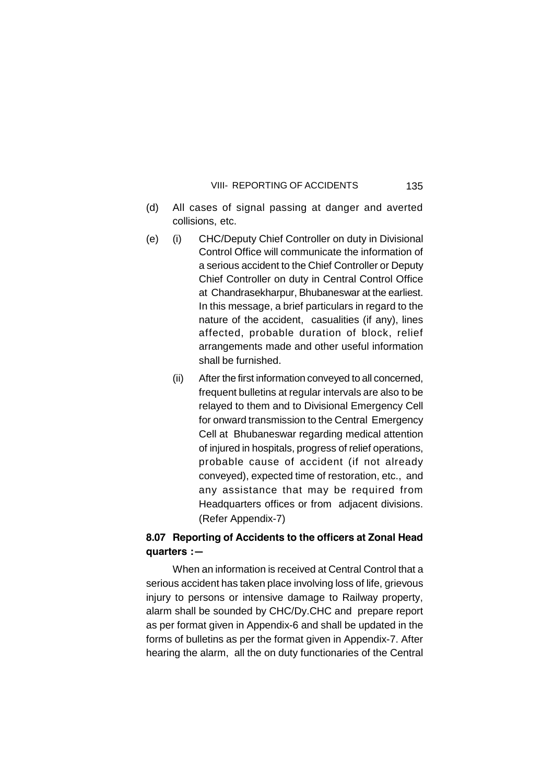- (d) All cases of signal passing at danger and averted collisions, etc.
- (e) (i) CHC/Deputy Chief Controller on duty in Divisional Control Office will communicate the information of a serious accident to the Chief Controller or Deputy Chief Controller on duty in Central Control Office at Chandrasekharpur, Bhubaneswar at the earliest. In this message, a brief particulars in regard to the nature of the accident, casualities (if any), lines affected, probable duration of block, relief arrangements made and other useful information shall be furnished.
	- (ii) After the first information conveyed to all concerned, frequent bulletins at regular intervals are also to be relayed to them and to Divisional Emergency Cell for onward transmission to the Central Emergency Cell at Bhubaneswar regarding medical attention of injured in hospitals, progress of relief operations, probable cause of accident (if not already conveyed), expected time of restoration, etc., and any assistance that may be required from Headquarters offices or from adjacent divisions. (Refer Appendix-7)

## **8.07 Reporting of Accidents to the officers at Zonal Head quarters :—**

When an information is received at Central Control that a serious accident has taken place involving loss of life, grievous injury to persons or intensive damage to Railway property, alarm shall be sounded by CHC/Dy.CHC and prepare report as per format given in Appendix-6 and shall be updated in the forms of bulletins as per the format given in Appendix-7. After hearing the alarm, all the on duty functionaries of the Central

135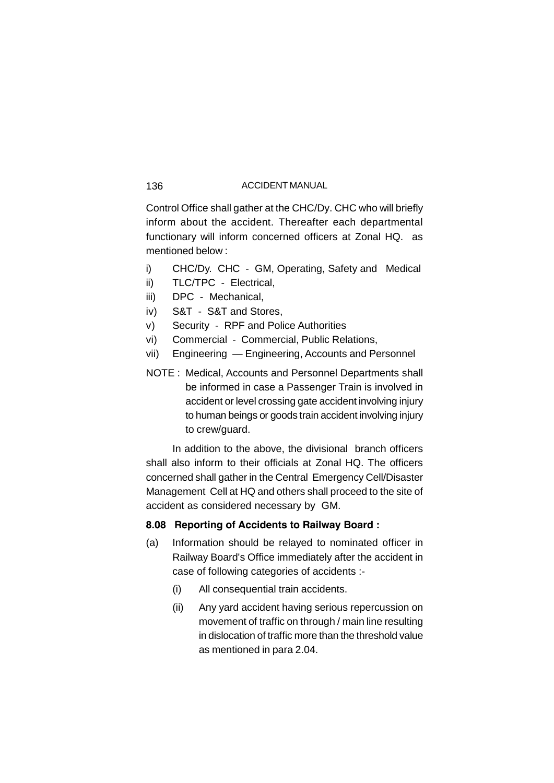Control Office shall gather at the CHC/Dy. CHC who will briefly inform about the accident. Thereafter each departmental functionary will inform concerned officers at Zonal HQ. as mentioned below :

- i) CHC/Dy. CHC GM, Operating, Safety and Medical
- ii) TLC/TPC Electrical,
- iii) DPC Mechanical,
- iv) S&T S&T and Stores,
- v) Security RPF and Police Authorities
- vi) Commercial Commercial, Public Relations,
- vii) Engineering Engineering, Accounts and Personnel
- NOTE : Medical, Accounts and Personnel Departments shall be informed in case a Passenger Train is involved in accident or level crossing gate accident involving injury to human beings or goods train accident involving injury to crew/guard.

In addition to the above, the divisional branch officers shall also inform to their officials at Zonal HQ. The officers concerned shall gather in the Central Emergency Cell/Disaster Management Cell at HQ and others shall proceed to the site of accident as considered necessary by GM.

## **8.08 Reporting of Accidents to Railway Board :**

- (a) Information should be relayed to nominated officer in Railway Board's Office immediately after the accident in case of following categories of accidents :-
	- (i) All consequential train accidents.
	- (ii) Any yard accident having serious repercussion on movement of traffic on through / main line resulting in dislocation of traffic more than the threshold value as mentioned in para 2.04.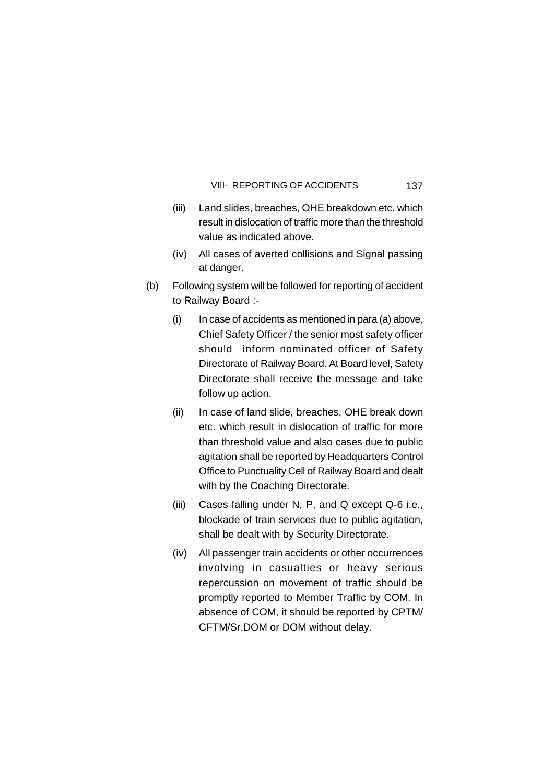- (iii) Land slides, breaches, OHE breakdown etc. which result in dislocation of traffic more than the threshold value as indicated above.
- (iv) All cases of averted collisions and Signal passing at danger.
- (b) Following system will be followed for reporting of accident to Railway Board :-
	- (i) In case of accidents as mentioned in para (a) above, Chief Safety Officer / the senior most safety officer should inform nominated officer of Safety Directorate of Railway Board. At Board level, Safety Directorate shall receive the message and take follow up action.
	- (ii) In case of land slide, breaches, OHE break down etc. which result in dislocation of traffic for more than threshold value and also cases due to public agitation shall be reported by Headquarters Control Office to Punctuality Cell of Railway Board and dealt with by the Coaching Directorate.
	- (iii) Cases falling under N, P, and Q except Q-6 i.e., blockade of train services due to public agitation, shall be dealt with by Security Directorate.
	- (iv) All passenger train accidents or other occurrences involving in casualties or heavy serious repercussion on movement of traffic should be promptly reported to Member Traffic by COM. In absence of COM, it should be reported by CPTM/ CFTM/Sr.DOM or DOM without delay.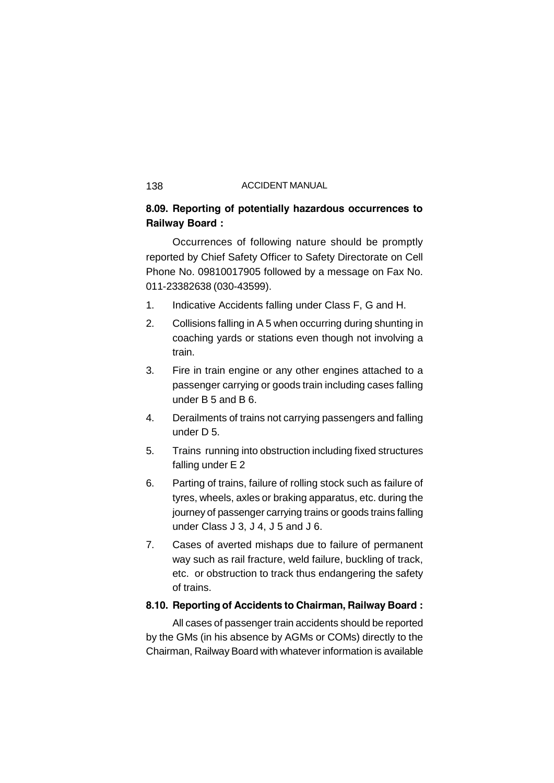## **8.09. Reporting of potentially hazardous occurrences to Railway Board :**

Occurrences of following nature should be promptly reported by Chief Safety Officer to Safety Directorate on Cell Phone No. 09810017905 followed by a message on Fax No. 011-23382638 (030-43599).

- 1. Indicative Accidents falling under Class F, G and H.
- 2. Collisions falling in A 5 when occurring during shunting in coaching yards or stations even though not involving a train.
- 3. Fire in train engine or any other engines attached to a passenger carrying or goods train including cases falling under B 5 and B 6.
- 4. Derailments of trains not carrying passengers and falling under D 5.
- 5. Trains running into obstruction including fixed structures falling under E 2
- 6. Parting of trains, failure of rolling stock such as failure of tyres, wheels, axles or braking apparatus, etc. during the journey of passenger carrying trains or goods trains falling under Class J 3, J 4, J 5 and J 6.
- 7. Cases of averted mishaps due to failure of permanent way such as rail fracture, weld failure, buckling of track, etc. or obstruction to track thus endangering the safety of trains.

## **8.10. Reporting of Accidents to Chairman, Railway Board :**

All cases of passenger train accidents should be reported by the GMs (in his absence by AGMs or COMs) directly to the Chairman, Railway Board with whatever information is available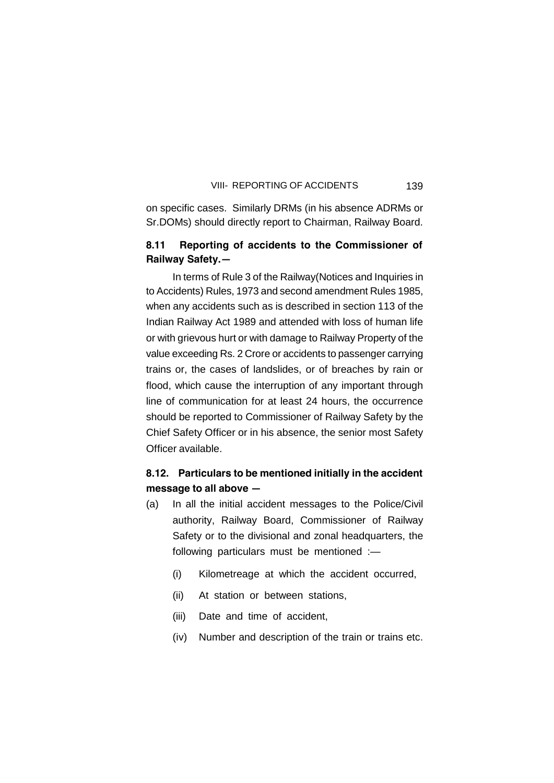on specific cases. Similarly DRMs (in his absence ADRMs or Sr.DOMs) should directly report to Chairman, Railway Board.

## **8.11 Reporting of accidents to the Commissioner of Railway Safety.—**

In terms of Rule 3 of the Railway(Notices and Inquiries in to Accidents) Rules, 1973 and second amendment Rules 1985, when any accidents such as is described in section 113 of the Indian Railway Act 1989 and attended with loss of human life or with grievous hurt or with damage to Railway Property of the value exceeding Rs. 2 Crore or accidents to passenger carrying trains or, the cases of landslides, or of breaches by rain or flood, which cause the interruption of any important through line of communication for at least 24 hours, the occurrence should be reported to Commissioner of Railway Safety by the Chief Safety Officer or in his absence, the senior most Safety Officer available.

## **8.12. Particulars to be mentioned initially in the accident message to all above —**

- (a) In all the initial accident messages to the Police/Civil authority, Railway Board, Commissioner of Railway Safety or to the divisional and zonal headquarters, the following particulars must be mentioned :—
	- (i) Kilometreage at which the accident occurred,
	- (ii) At station or between stations,
	- (iii) Date and time of accident,
	- (iv) Number and description of the train or trains etc.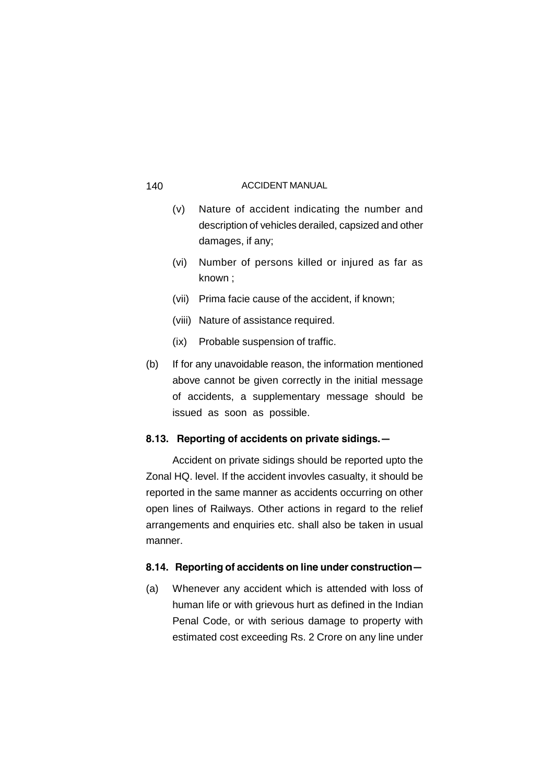- (v) Nature of accident indicating the number and description of vehicles derailed, capsized and other damages, if any;
- (vi) Number of persons killed or injured as far as known ;
- (vii) Prima facie cause of the accident, if known;
- (viii) Nature of assistance required.
- (ix) Probable suspension of traffic.
- (b) If for any unavoidable reason, the information mentioned above cannot be given correctly in the initial message of accidents, a supplementary message should be issued as soon as possible.

## **8.13. Reporting of accidents on private sidings.—**

Accident on private sidings should be reported upto the Zonal HQ. level. If the accident invovles casualty, it should be reported in the same manner as accidents occurring on other open lines of Railways. Other actions in regard to the relief arrangements and enquiries etc. shall also be taken in usual manner.

## **8.14. Reporting of accidents on line under construction—**

(a) Whenever any accident which is attended with loss of human life or with grievous hurt as defined in the Indian Penal Code, or with serious damage to property with estimated cost exceeding Rs. 2 Crore on any line under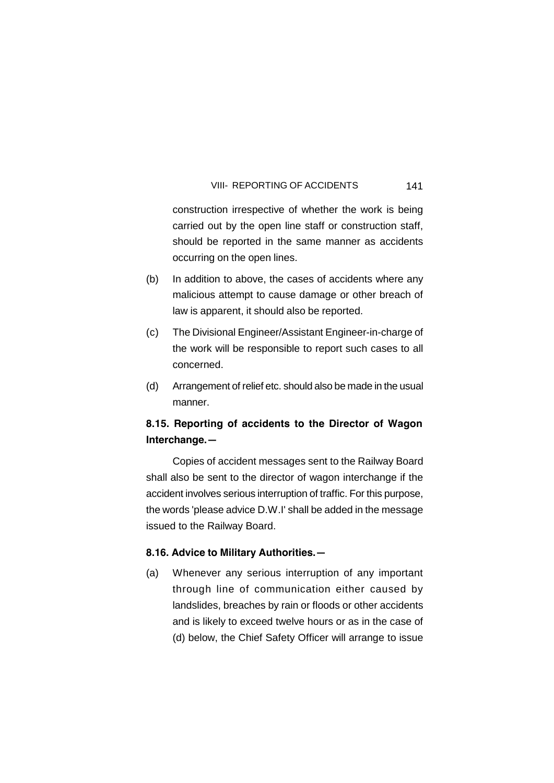construction irrespective of whether the work is being carried out by the open line staff or construction staff, should be reported in the same manner as accidents occurring on the open lines.

- (b) In addition to above, the cases of accidents where any malicious attempt to cause damage or other breach of law is apparent, it should also be reported.
- (c) The Divisional Engineer/Assistant Engineer-in-charge of the work will be responsible to report such cases to all concerned.
- (d) Arrangement of relief etc. should also be made in the usual manner.

## **8.15. Reporting of accidents to the Director of Wagon Interchange.—**

Copies of accident messages sent to the Railway Board shall also be sent to the director of wagon interchange if the accident involves serious interruption of traffic. For this purpose, the words 'please advice D.W.I' shall be added in the message issued to the Railway Board.

#### **8.16. Advice to Military Authorities.—**

(a) Whenever any serious interruption of any important through line of communication either caused by landslides, breaches by rain or floods or other accidents and is likely to exceed twelve hours or as in the case of (d) below, the Chief Safety Officer will arrange to issue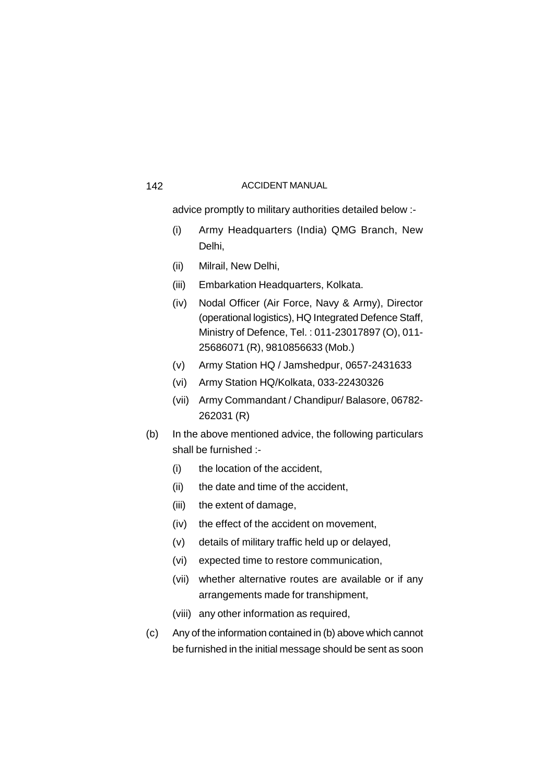advice promptly to military authorities detailed below :-

- (i) Army Headquarters (India) QMG Branch, New Delhi,
- (ii) Milrail, New Delhi,
- (iii) Embarkation Headquarters, Kolkata.
- (iv) Nodal Officer (Air Force, Navy & Army), Director (operational logistics), HQ Integrated Defence Staff, Ministry of Defence, Tel. : 011-23017897 (O), 011- 25686071 (R), 9810856633 (Mob.)
- (v) Army Station HQ / Jamshedpur, 0657-2431633
- (vi) Army Station HQ/Kolkata, 033-22430326
- (vii) Army Commandant / Chandipur/ Balasore, 06782- 262031 (R)
- (b) In the above mentioned advice, the following particulars shall be furnished :-
	- (i) the location of the accident,
	- (ii) the date and time of the accident,
	- (iii) the extent of damage,
	- (iv) the effect of the accident on movement,
	- (v) details of military traffic held up or delayed,
	- (vi) expected time to restore communication,
	- (vii) whether alternative routes are available or if any arrangements made for transhipment,
	- (viii) any other information as required,
- (c) Any of the information contained in (b) above which cannot be furnished in the initial message should be sent as soon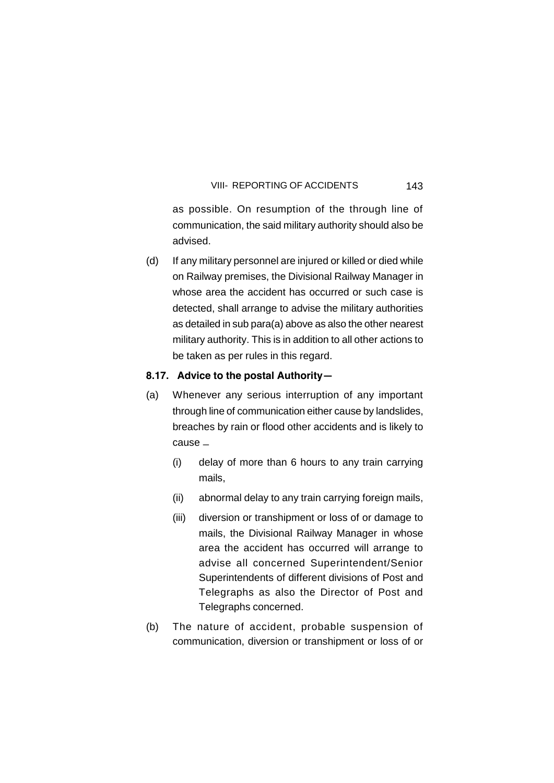as possible. On resumption of the through line of communication, the said military authority should also be advised.

(d) If any military personnel are injured or killed or died while on Railway premises, the Divisional Railway Manager in whose area the accident has occurred or such case is detected, shall arrange to advise the military authorities as detailed in sub para(a) above as also the other nearest military authority. This is in addition to all other actions to be taken as per rules in this regard.

### **8.17. Advice to the postal Authority—**

- (a) Whenever any serious interruption of any important through line of communication either cause by landslides, breaches by rain or flood other accidents and is likely to cause \_
	- (i) delay of more than 6 hours to any train carrying mails,
	- (ii) abnormal delay to any train carrying foreign mails,
	- (iii) diversion or transhipment or loss of or damage to mails, the Divisional Railway Manager in whose area the accident has occurred will arrange to advise all concerned Superintendent/Senior Superintendents of different divisions of Post and Telegraphs as also the Director of Post and Telegraphs concerned.
- (b) The nature of accident, probable suspension of communication, diversion or transhipment or loss of or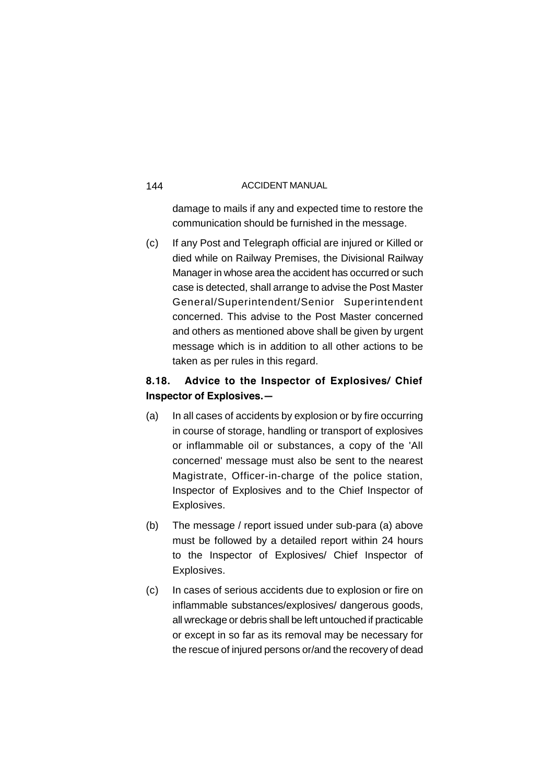damage to mails if any and expected time to restore the communication should be furnished in the message.

(c) If any Post and Telegraph official are injured or Killed or died while on Railway Premises, the Divisional Railway Manager in whose area the accident has occurred or such case is detected, shall arrange to advise the Post Master General/Superintendent/Senior Superintendent concerned. This advise to the Post Master concerned and others as mentioned above shall be given by urgent message which is in addition to all other actions to be taken as per rules in this regard.

## **8.18. Advice to the Inspector of Explosives/ Chief Inspector of Explosives.—**

- (a) In all cases of accidents by explosion or by fire occurring in course of storage, handling or transport of explosives or inflammable oil or substances, a copy of the 'All concerned' message must also be sent to the nearest Magistrate, Officer-in-charge of the police station, Inspector of Explosives and to the Chief Inspector of Explosives.
- (b) The message / report issued under sub-para (a) above must be followed by a detailed report within 24 hours to the Inspector of Explosives/ Chief Inspector of Explosives.
- (c) In cases of serious accidents due to explosion or fire on inflammable substances/explosives/ dangerous goods, all wreckage or debris shall be left untouched if practicable or except in so far as its removal may be necessary for the rescue of injured persons or/and the recovery of dead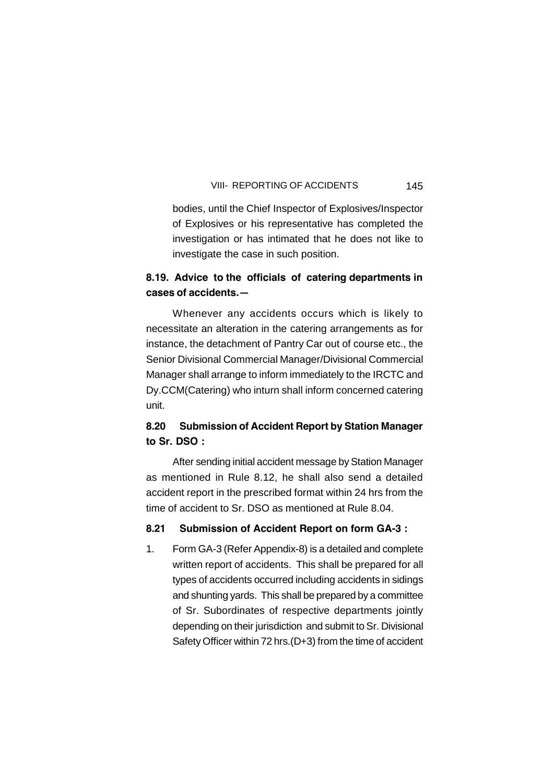bodies, until the Chief Inspector of Explosives/Inspector of Explosives or his representative has completed the investigation or has intimated that he does not like to investigate the case in such position.

## **8.19. Advice to the officials of catering departments in cases of accidents.—**

Whenever any accidents occurs which is likely to necessitate an alteration in the catering arrangements as for instance, the detachment of Pantry Car out of course etc., the Senior Divisional Commercial Manager/Divisional Commercial Manager shall arrange to inform immediately to the IRCTC and Dy.CCM(Catering) who inturn shall inform concerned catering unit.

## **8.20 Submission of Accident Report by Station Manager to Sr. DSO :**

After sending initial accident message by Station Manager as mentioned in Rule 8.12, he shall also send a detailed accident report in the prescribed format within 24 hrs from the time of accident to Sr. DSO as mentioned at Rule 8.04.

## **8.21 Submission of Accident Report on form GA-3 :**

1. Form GA-3 (Refer Appendix-8) is a detailed and complete written report of accidents. This shall be prepared for all types of accidents occurred including accidents in sidings and shunting yards. This shall be prepared by a committee of Sr. Subordinates of respective departments jointly depending on their jurisdiction and submit to Sr. Divisional Safety Officer within 72 hrs.(D+3) from the time of accident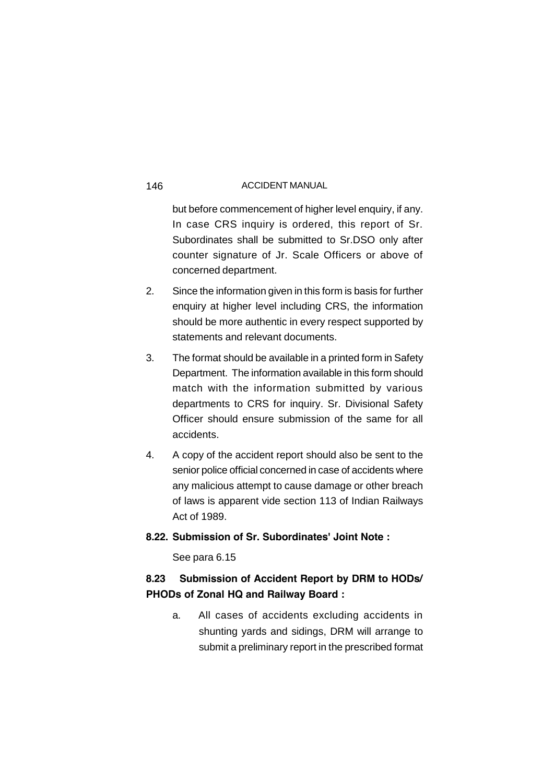but before commencement of higher level enquiry, if any. In case CRS inquiry is ordered, this report of Sr. Subordinates shall be submitted to Sr.DSO only after counter signature of Jr. Scale Officers or above of concerned department.

- 2. Since the information given in this form is basis for further enquiry at higher level including CRS, the information should be more authentic in every respect supported by statements and relevant documents.
- 3. The format should be available in a printed form in Safety Department. The information available in this form should match with the information submitted by various departments to CRS for inquiry. Sr. Divisional Safety Officer should ensure submission of the same for all accidents.
- 4. A copy of the accident report should also be sent to the senior police official concerned in case of accidents where any malicious attempt to cause damage or other breach of laws is apparent vide section 113 of Indian Railways Act of 1989.

## **8.22. Submission of Sr. Subordinates' Joint Note :**

See para 6.15

## **8.23 Submission of Accident Report by DRM to HODs/ PHODs of Zonal HQ and Railway Board :**

a. All cases of accidents excluding accidents in shunting yards and sidings, DRM will arrange to submit a preliminary report in the prescribed format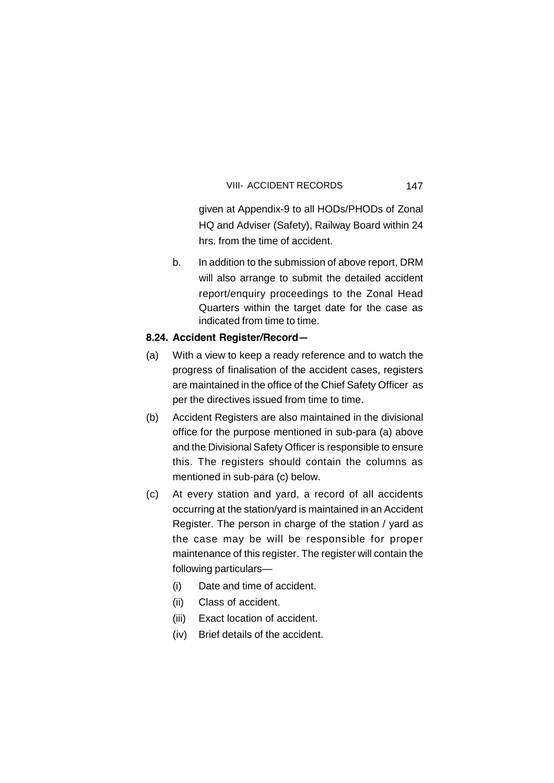#### VIII- ACCIDENT RECORDS

given at Appendix-9 to all HODs/PHODs of Zonal HQ and Adviser (Safety), Railway Board within 24 hrs. from the time of accident.

b. In addition to the submission of above report, DRM will also arrange to submit the detailed accident report/enquiry proceedings to the Zonal Head Quarters within the target date for the case as indicated from time to time.

## **8.24. Accident Register/Record—**

- (a) With a view to keep a ready reference and to watch the progress of finalisation of the accident cases, registers are maintained in the office of the Chief Safety Officer as per the directives issued from time to time.
- (b) Accident Registers are also maintained in the divisional office for the purpose mentioned in sub-para (a) above and the Divisional Safety Officer is responsible to ensure this. The registers should contain the columns as mentioned in sub-para (c) below.
- (c) At every station and yard, a record of all accidents occurring at the station/yard is maintained in an Accident Register. The person in charge of the station / yard as the case may be will be responsible for proper maintenance of this register. The register will contain the following particulars—
	- (i) Date and time of accident.
	- (ii) Class of accident.
	- (iii) Exact location of accident.
	- (iv) Brief details of the accident.

147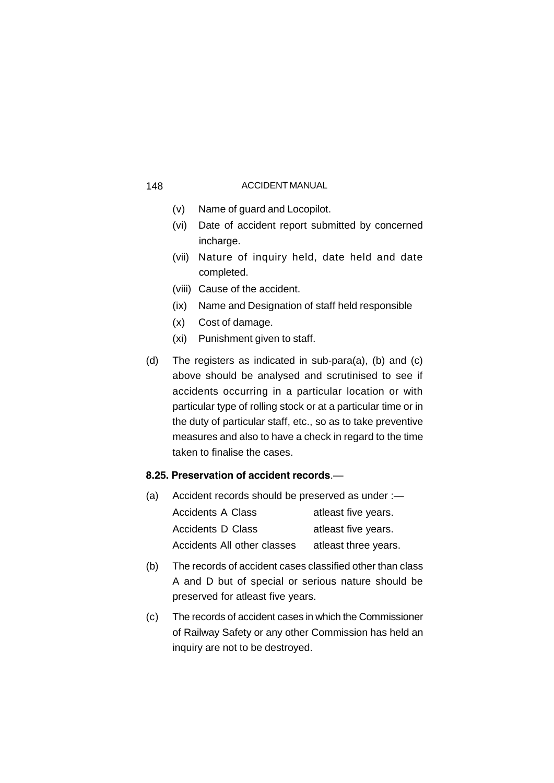- (v) Name of guard and Locopilot.
- (vi) Date of accident report submitted by concerned incharge.
- (vii) Nature of inquiry held, date held and date completed.
- (viii) Cause of the accident.
- (ix) Name and Designation of staff held responsible
- (x) Cost of damage.
- (xi) Punishment given to staff.
- (d) The registers as indicated in sub-para(a), (b) and (c) above should be analysed and scrutinised to see if accidents occurring in a particular location or with particular type of rolling stock or at a particular time or in the duty of particular staff, etc., so as to take preventive measures and also to have a check in regard to the time taken to finalise the cases.

## **8.25. Preservation of accident records**.—

| (a) | Accident records should be preserved as under :- |                      |
|-----|--------------------------------------------------|----------------------|
|     | Accidents A Class                                | atleast five years.  |
|     | Accidents D Class                                | atleast five years.  |
|     | Accidents All other classes                      | atleast three years. |

- (b) The records of accident cases classified other than class A and D but of special or serious nature should be preserved for atleast five years.
- (c) The records of accident cases in which the Commissioner of Railway Safety or any other Commission has held an inquiry are not to be destroyed.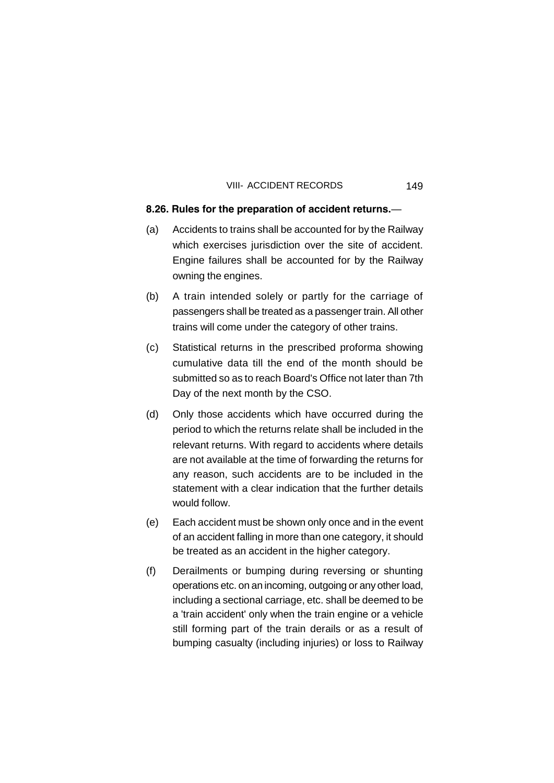#### VIII- ACCIDENT RECORDS

### **8.26. Rules for the preparation of accident returns.**—

- (a) Accidents to trains shall be accounted for by the Railway which exercises jurisdiction over the site of accident. Engine failures shall be accounted for by the Railway owning the engines.
- (b) A train intended solely or partly for the carriage of passengers shall be treated as a passenger train. All other trains will come under the category of other trains.
- (c) Statistical returns in the prescribed proforma showing cumulative data till the end of the month should be submitted so as to reach Board's Office not later than 7th Day of the next month by the CSO.
- (d) Only those accidents which have occurred during the period to which the returns relate shall be included in the relevant returns. With regard to accidents where details are not available at the time of forwarding the returns for any reason, such accidents are to be included in the statement with a clear indication that the further details would follow.
- (e) Each accident must be shown only once and in the event of an accident falling in more than one category, it should be treated as an accident in the higher category.
- (f) Derailments or bumping during reversing or shunting operations etc. on an incoming, outgoing or any other load, including a sectional carriage, etc. shall be deemed to be a 'train accident' only when the train engine or a vehicle still forming part of the train derails or as a result of bumping casualty (including injuries) or loss to Railway

149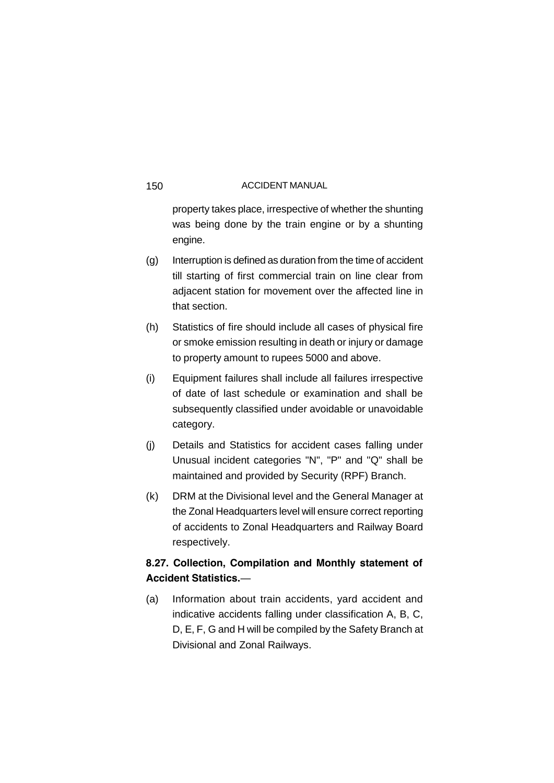property takes place, irrespective of whether the shunting was being done by the train engine or by a shunting engine.

- (g) Interruption is defined as duration from the time of accident till starting of first commercial train on line clear from adjacent station for movement over the affected line in that section.
- (h) Statistics of fire should include all cases of physical fire or smoke emission resulting in death or injury or damage to property amount to rupees 5000 and above.
- (i) Equipment failures shall include all failures irrespective of date of last schedule or examination and shall be subsequently classified under avoidable or unavoidable category.
- (j) Details and Statistics for accident cases falling under Unusual incident categories "N", "P" and "Q" shall be maintained and provided by Security (RPF) Branch.
- (k) DRM at the Divisional level and the General Manager at the Zonal Headquarters level will ensure correct reporting of accidents to Zonal Headquarters and Railway Board respectively.

## **8.27. Collection, Compilation and Monthly statement of Accident Statistics.**—

(a) Information about train accidents, yard accident and indicative accidents falling under classification A, B, C, D, E, F, G and H will be compiled by the Safety Branch at Divisional and Zonal Railways.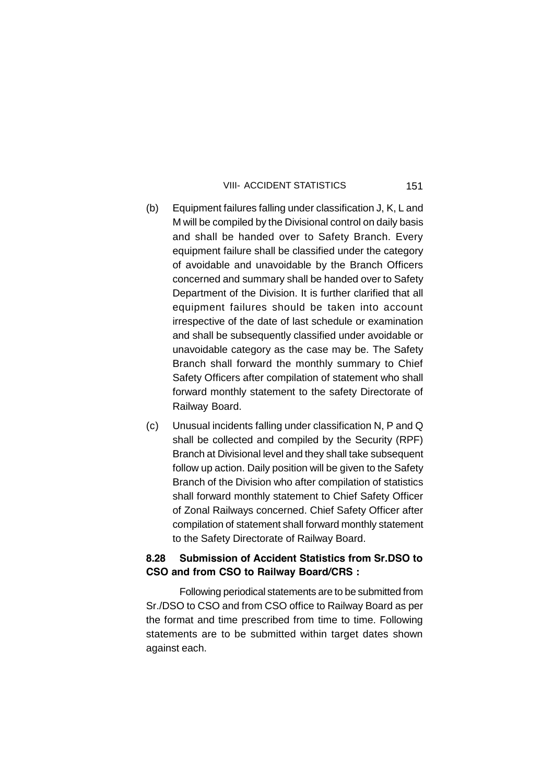#### VIII- ACCIDENT STATISTICS

- (b) Equipment failures falling under classification J, K, L and M will be compiled by the Divisional control on daily basis and shall be handed over to Safety Branch. Every equipment failure shall be classified under the category of avoidable and unavoidable by the Branch Officers concerned and summary shall be handed over to Safety Department of the Division. It is further clarified that all equipment failures should be taken into account irrespective of the date of last schedule or examination and shall be subsequently classified under avoidable or unavoidable category as the case may be. The Safety Branch shall forward the monthly summary to Chief Safety Officers after compilation of statement who shall forward monthly statement to the safety Directorate of Railway Board.
- (c) Unusual incidents falling under classification N, P and Q shall be collected and compiled by the Security (RPF) Branch at Divisional level and they shall take subsequent follow up action. Daily position will be given to the Safety Branch of the Division who after compilation of statistics shall forward monthly statement to Chief Safety Officer of Zonal Railways concerned. Chief Safety Officer after compilation of statement shall forward monthly statement to the Safety Directorate of Railway Board.

## **8.28 Submission of Accident Statistics from Sr.DSO to CSO and from CSO to Railway Board/CRS :**

Following periodical statements are to be submitted from Sr./DSO to CSO and from CSO office to Railway Board as per the format and time prescribed from time to time. Following statements are to be submitted within target dates shown against each.

151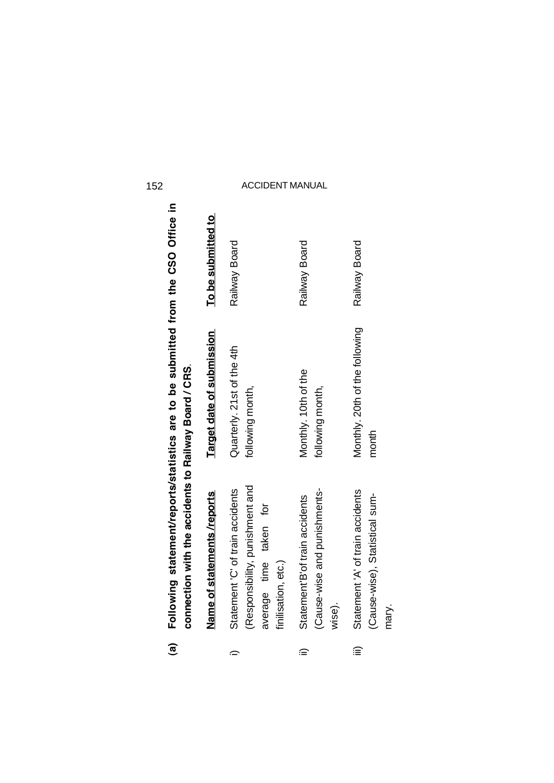| @ | Following statement/reports/statistics are to be submitted from the CSO Office in<br>connection with the accidents to Railway Board / CRS. |                                                |                    |
|---|--------------------------------------------------------------------------------------------------------------------------------------------|------------------------------------------------|--------------------|
|   | Name of statements /reports                                                                                                                | Target date of submission                      | To be submitted to |
|   | (Responsibility, punishment and<br>Statement 'C' of train accidents<br>average time taken for<br>finilisation, etc.)                       | Quarterly. 21st of the 4th<br>following month, | Railway Board      |
| ≘ | (Cause-wise and punishments-<br>Statement'B'of train accidents<br>wise).                                                                   | Monthly. 10th of the<br>following month,       | Railway Board      |
| ≘ | Statement 'A' of train accidents<br>(Cause-wise), Statistical sum-<br>mary.                                                                | Monthly. 20th of the following<br>month        | Railway Board      |
|   |                                                                                                                                            |                                                |                    |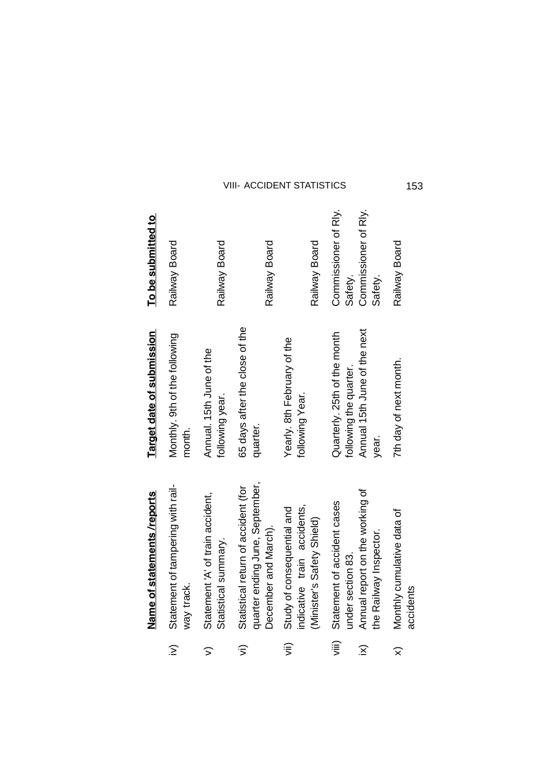|                                                  | Name of statements /reports                                                                                   | Target date of submission                                                                       | To be submitted to                                                 |
|--------------------------------------------------|---------------------------------------------------------------------------------------------------------------|-------------------------------------------------------------------------------------------------|--------------------------------------------------------------------|
| $\widehat{\geq}$                                 | Statement of tampering with rail-<br>way track.                                                               | Monthly. 9th of the following<br>month.                                                         | Railway Board                                                      |
| $\widehat{\phantom{1}}$                          | Statement 'A' of train accident,<br>Statistical summary.                                                      | Annual. 15th June of the<br>following year.                                                     | Railway Board                                                      |
| $\widehat{\mathbf{z}}$                           | quarter ending June, September,<br>Statistical return of accident (for<br>December and March).                | 65 days after the close of the<br>quarter.                                                      | Railway Board                                                      |
| $\widehat{\mathsf{S}}$                           | indicative train accidents,<br>Study of consequential and<br>(Minister's Safety Shield)                       | Yearly. 8th February of the<br>following Year.                                                  | Railway Board                                                      |
| $\widehat{\mathbb{F}}$<br>$\widehat{\mathbf{X}}$ | Annual report on the working of<br>Statement of accident cases<br>the Railway Inspector.<br>under section 83. | Annual 15th June of the next<br>Quarterly. 25th of the month<br>following the quarter.<br>year. | Commissioner of Rly.<br>Commissioner of Rly.<br>Safety.<br>Safety. |
| $\widehat{\times}$                               | Monthly cumulative data of<br>accidents                                                                       | 7th day of next month.                                                                          | Railway Board                                                      |

 $\begin{array}{ccc} \n\begin{array}{ccc}\n\hat{z} & \hat{z} & \hat{z} \\
\hat{z} & \hat{z} & \hat{z} \\
\hat{z} & \hat{z} & \hat{z}\n\end{array}\n\end{array}$ 

VIII- ACCIDENT STATISTICS

153

 $\widehat{\times}$